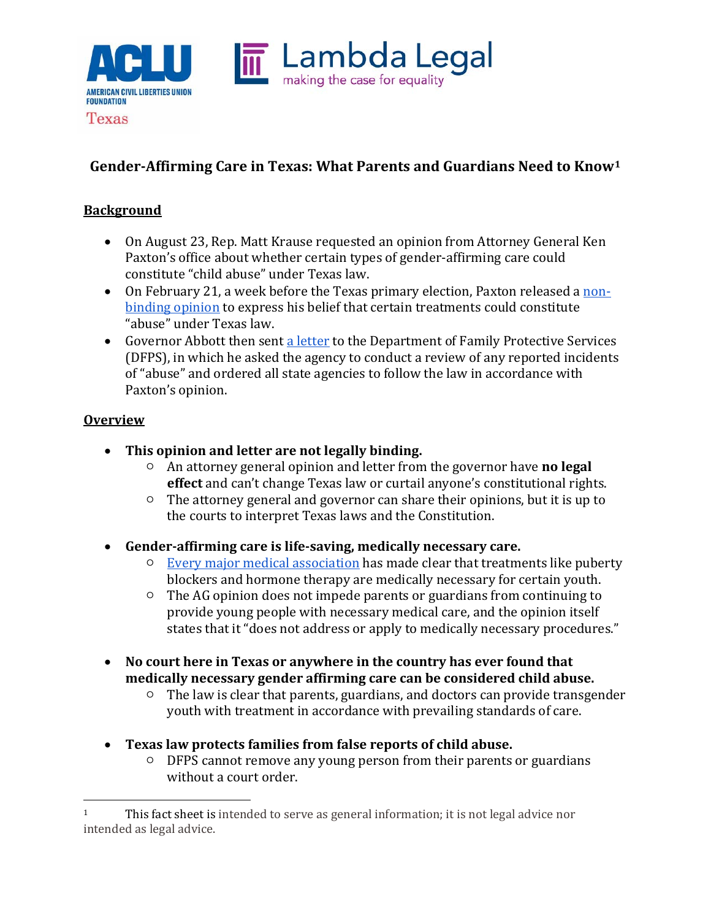

# **Gender-Affirming Care in Texas: What Parents and Guardians Need to Know[1](#page-0-0)**

### **Background**

**Texas** 

- On August 23, Rep. Matt Krause requested an opinion from Attorney General Ken Paxton's office about whether certain types of gender-affirming care could constitute "child abuse" under Texas law.
- On February 21, a week before the Texas primary election, Paxton released a [non](https://texasattorneygeneral.gov/sites/default/files/global/KP-0401.pdf)[binding opinion](https://texasattorneygeneral.gov/sites/default/files/global/KP-0401.pdf) to express his belief that certain treatments could constitute "abuse" under Texas law.
- Governor Abbott then sent [a letter](https://gov.texas.gov/uploads/files/press/O-MastersJaime202202221358.pdf) to the Department of Family Protective Services (DFPS), in which he asked the agency to conduct a review of any reported incidents of "abuse" and ordered all state agencies to follow the law in accordance with Paxton's opinion.

#### **Overview**

- **This opinion and letter are not legally binding.**
	- An attorney general opinion and letter from the governor have **no legal effect** and can't change Texas law or curtail anyone's constitutional rights.
	- The attorney general and governor can share their opinions, but it is up to the courts to interpret Texas laws and the Constitution.
- **Gender-affirming care is life-saving, medically necessary care.**
	- [Every major medical association](https://www.aclu.org/news/lgbtq-rights/doctors-agree-gender-affirming-care-is-life-saving-care/) has made clear that treatments like puberty blockers and hormone therapy are medically necessary for certain youth.
	- The AG opinion does not impede parents or guardians from continuing to provide young people with necessary medical care, and the opinion itself states that it "does not address or apply to medically necessary procedures."
- **No court here in Texas or anywhere in the country has ever found that medically necessary gender affirming care can be considered child abuse.**
	- The law is clear that parents, guardians, and doctors can provide transgender youth with treatment in accordance with prevailing standards of care.
- **Texas law protects families from false reports of child abuse.** 
	- DFPS cannot remove any young person from their parents or guardians without a court order.

<span id="page-0-0"></span><sup>&</sup>lt;sup>1</sup> This fact sheet is intended to serve as general information; it is not legal advice nor intended as legal advice.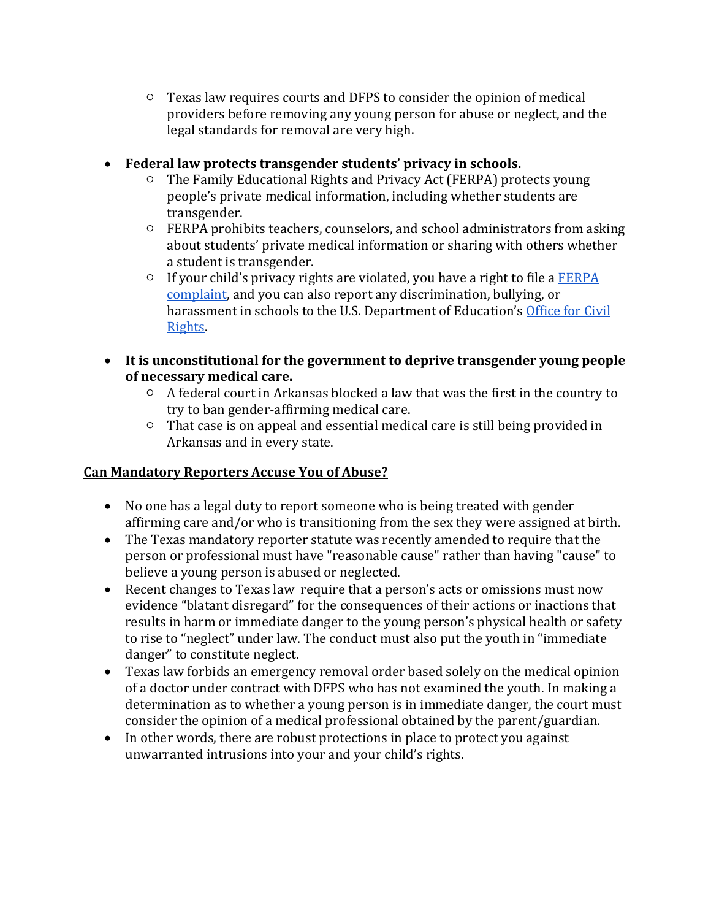- Texas law requires courts and DFPS to consider the opinion of medical providers before removing any young person for abuse or neglect, and the legal standards for removal are very high.
- **Federal law protects transgender students' privacy in schools.**
	- The Family Educational Rights and Privacy Act (FERPA) protects young people's private medical information, including whether students are transgender.
	- FERPA prohibits teachers, counselors, and school administrators from asking about students' private medical information or sharing with others whether a student is transgender.
	- If your child's privacy rights are violated, you have a right to file a [FERPA](https://studentprivacy.ed.gov/file-a-complaint)  [complaint,](https://studentprivacy.ed.gov/file-a-complaint) and you can also report any discrimination, bullying, or harassment in schools to the U.S. Department of Education's [Office for Civil](https://www2.ed.gov/about/offices/list/ocr/lgbt.html)  [Rights.](https://www2.ed.gov/about/offices/list/ocr/lgbt.html)
- **It is unconstitutional for the government to deprive transgender young people of necessary medical care.**
	- A federal court in Arkansas blocked a law that was the first in the country to try to ban gender-affirming medical care.
	- $\circ$  That case is on appeal and essential medical care is still being provided in Arkansas and in every state.

# **Can Mandatory Reporters Accuse You of Abuse?**

- No one has a legal duty to report someone who is being treated with gender affirming care and/or who is transitioning from the sex they were assigned at birth.
- The Texas mandatory reporter statute was recently amended to require that the person or professional must have "reasonable cause" rather than having "cause" to believe a young person is abused or neglected.
- Recent changes to Texas law require that a person's acts or omissions must now evidence "blatant disregard" for the consequences of their actions or inactions that results in harm or immediate danger to the young person's physical health or safety to rise to "neglect" under law. The conduct must also put the youth in "immediate danger" to constitute neglect.
- Texas law forbids an emergency removal order based solely on the medical opinion of a doctor under contract with DFPS who has not examined the youth. In making a determination as to whether a young person is in immediate danger, the court must consider the opinion of a medical professional obtained by the parent/guardian.
- In other words, there are robust protections in place to protect you against unwarranted intrusions into your and your child's rights.